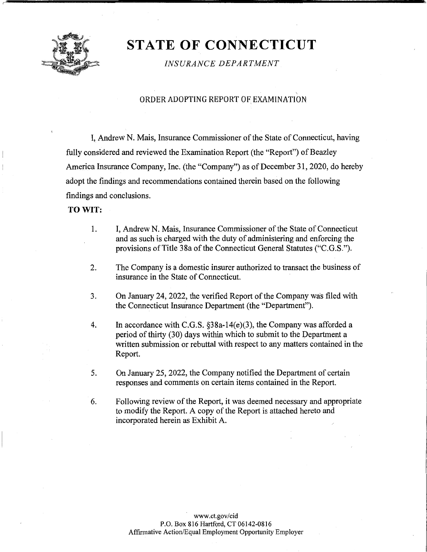

# **ST ATE OF CONNECTICUT**

*INSURANCE DEPARTMENT* 

# ' ORDER ADOPTING REPORT OF EXAMINATION

I, Andrew N. Mais, Insurance Commissioner of the State of Connecticut, having fully considered and reviewed the Examination Report (the "Report") of Beazley America Insurance Company, Inc. (the "Company") as of December 31, 2020, do hereby adopt the findings and recommendations contained therein based on the following findings and conclusions.

## **TO WIT:**

- 1. I, Andrew N. Mais, Insurance Commissioner of the State of Connecticut and as such is charged with the duty of administering and enforcing the provisions of Title 38a of the Connecticut General Statutes ("C.G.S.").
- 2. The Company is a domestic insurer authorized to transact the business of insurance in the State of Connecticut.
- 3. On January 24, 2022, the verified Report of the Company was filed with the Connecticut Insurance Department (the "Department").
- 4. Ih accordance with C.G.S. §38a-14(e)(3), the Company was afforded a period of thirty (30) days within which to submit to the Department a written submission or rebuttal with respect to any matters contained in the Report.
- 5. On January 25, 2022, the Company notified the Department of certain responses and comments on certain items contained in the Report.
- 6. Following review of the Report, it was deemed necessary and appropriate to modify the Report. A copy of the Report is attached hereto and incorporated herein as Exhibit A.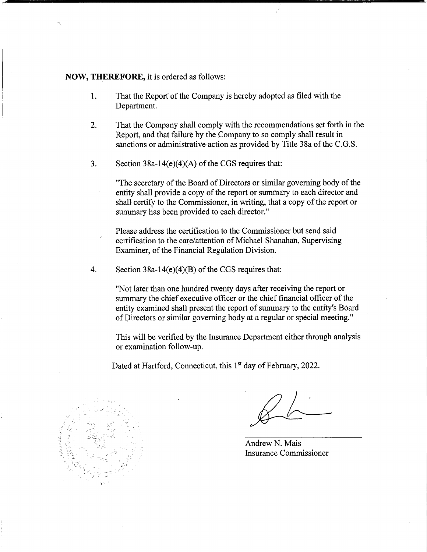## **NOW, THEREFORE,** it is ordered as follows:

- 1. That the Report of the Company is hereby adopted as filed with the Department.
- 2. That the Company shall comply with the recommendations set forth in the Report, and that failure by the Company to so comply shall result in sanctions or administrative action as provided by Title 38a of the C.G.S.
- 3. Section  $38a-14(e)(4)(A)$  of the CGS requires that:

"The secretary of the Board of Directors or similar governing body of the entity shall provide a copy of the report or summary to each director and shall certify to the Commissioner, in writing, that a copy of the report or summary has been provided to each director."

Please address the certification to the Commissioner but send said certification to the care/attention of Michael Shanahan, Supervising Examiner, of the Financial Regulation Division.

4. Section 38a-14(e)(4)(B) of the CGS requires that:

"Not later than one hundred twenty days after receiving the report or summary the chief executive officer or the chief financial officer of the entity examined shall present the report of summary to the entity's Board of Directors or similar governing body at a regular or special meeting."

This will be verified by the Insurance Department either through analysis or examination follow-up.

Dated at Hartford, Connecticut, this 1<sup>st</sup> day of February, 2022.



Andrew N. Mais Insurance Commissioner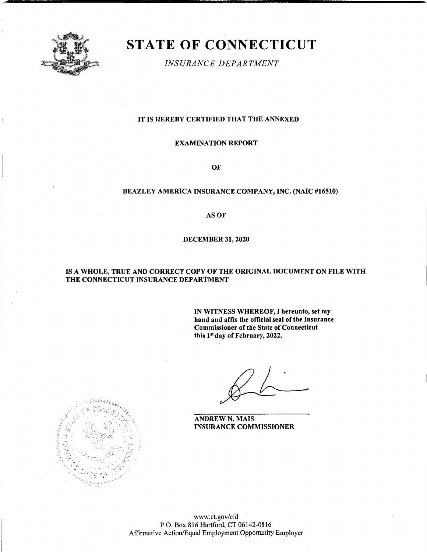

# **STATE OF CONNECTICUT**

*INSURANCE DEPARTMENT* 

#### IT IS HEREBY CERTIFIED THAT THE ANNEXED

#### EXAMINATION REPORT

OF

# BEAZLEY AMERICA INSURANCE COMPANY, INC. (NAIC #16510)

**AS OF** 

#### DECEMBER 31, 2020

#### IS A WHOLE, TRUE AND CORRECT COPY OF THE ORIGINAL DOCUMENT ON FILE WITH THE CONNECTICUT INSURANCE DEPARTMENT

**IN WITNESS WHEREOF,** I **hereunto, set my hand and affix the official seal of the Insurance Commissioner of the State of Connecticut this 1"1 day of February, 2022.** 

**ANDREW N. MAIS INSURANCE COMMISSIONER** 



www.ct.gov/cid P.O. Box 816 Hartford, CT 06142-0816 Affirmative Action/Equal Employment Opportunity Employer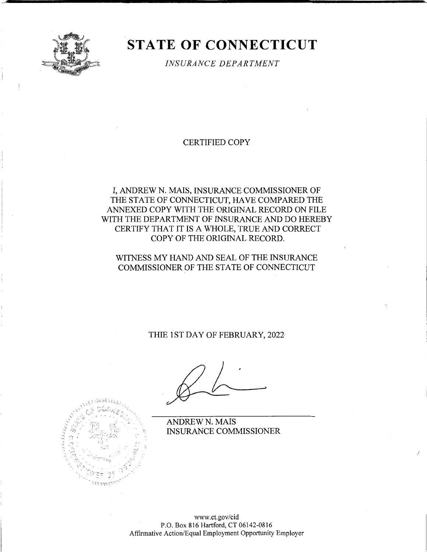

# **STATE OF CONNECTICUT**

*INSURANCE DEPARTMENT* 

# CERTIFIED COPY

# I, ANDREW N. MAIS, INSURANCE COMMISSIONER OF THE STATE OF CONNECTICUT, HAVE COMPARED THE ANNEXED COPY WITH THE ORIGINAL RECORD ON FILE WITH THE DEPARTMENT OF INSURANCE AND DO HEREBY CERTIFY THAT IT IS A WHOLE, TRUE AND CORRECT COPY OF THE ORIGINAL RECORD.

# WITNESS MY HAND AND SEAL OF THE INSURANCE COMMISSIONER OF THE STATE OF CONNECTICUT

# THIE 1ST DAY OF FEBRUARY, 2022

ANDREWN. MAIS INSURANCE COMMISSIONER

*)* 



www.ct.gov/cid P.O. Box 816 Hartford, CT 06142-0816 Affirmative Action/Equal Employment Opportunity Employer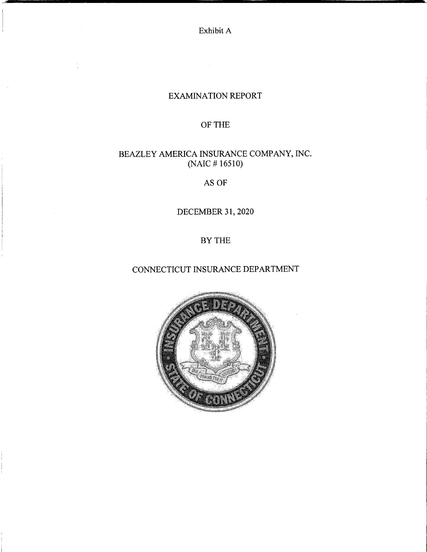Exhibit A

# EXAMINATION REPORT

# OF THE

# BEAZLEY AMERICA INSURANCE COMPANY, INC. (NAIC # 16510)

AS OF

DECEMBER 31, 2020

BYTHE

# CONNECTICUT INSURANCE DEPARTMENT

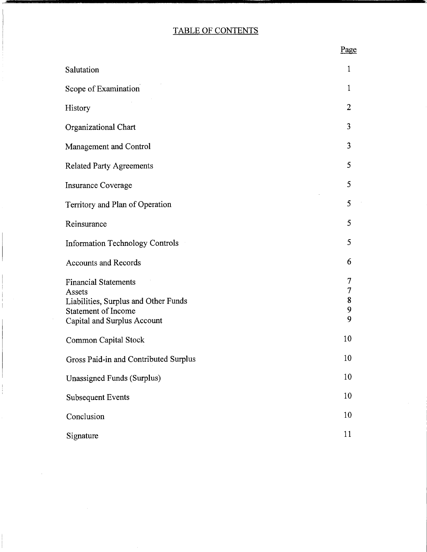# TABLE OF CONTENTS

|                                                                                                                                            | <u> 1 agu</u>         |
|--------------------------------------------------------------------------------------------------------------------------------------------|-----------------------|
| Salutation                                                                                                                                 | $\mathbf{1}$          |
| Scope of Examination                                                                                                                       | $\mathbf 1$           |
| History                                                                                                                                    | 2                     |
| Organizational Chart                                                                                                                       | 3                     |
| Management and Control                                                                                                                     | 3                     |
| <b>Related Party Agreements</b>                                                                                                            | 5                     |
| <b>Insurance Coverage</b>                                                                                                                  | 5                     |
| Territory and Plan of Operation                                                                                                            | 5                     |
| Reinsurance                                                                                                                                | 5                     |
| <b>Information Technology Controls</b>                                                                                                     | 5                     |
| <b>Accounts and Records</b>                                                                                                                | 6                     |
| <b>Financial Statements</b><br>Assets<br>Liabilities, Surplus and Other Funds<br><b>Statement of Income</b><br>Capital and Surplus Account | 7<br>7<br>8<br>9<br>9 |
| <b>Common Capital Stock</b>                                                                                                                | 10                    |
| Gross Paid-in and Contributed Surplus                                                                                                      | 10                    |
| Unassigned Funds (Surplus)                                                                                                                 | 10                    |
| <b>Subsequent Events</b>                                                                                                                   | 10                    |
| Conclusion                                                                                                                                 | 10                    |
| Signature                                                                                                                                  | 11                    |

Page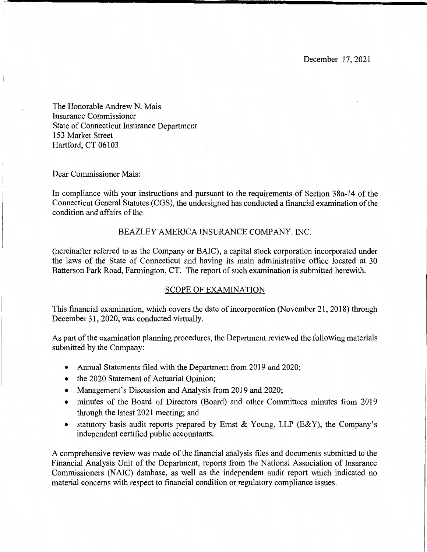December 17, 2021

The Honorable Andrew N. Mais Insurance Commissioner State of Connecticut Insurance Department 153 Market Street Hartford, CT 06103

Dear Commissioner Mais:

In compliance with your instructions and pursuant to the requirements of Section 3 8a-14 of the Connecticut General Statutes (CGS), the undersigned has conducted a financial examination of the condition and affairs of the

# BEAZLEY AMERICA INSURANCE COMPANY. INC.

(hereinafter referred to as the Company or BAIC), a capital stock corporation incorporated under the laws of the State of Connecticut and having its main administrative office located at 30 Batterson Park Road, Farmington, CT. The report of such examination is submitted herewith.

# SCOPE OF EXAMINATION

This financial examination, which covers the date of incorporation (November 21, 2018) through December 31, 2020, was conducted virtually.

As part of the examination planning procedures, the Department reviewed the following materials submitted by the Company:

- Annual Statements filed with the Department from 2019 and 2020;
- the 2020 Statement of Actuarial Opinion;
- Management's Discussion and Analysis from 2019 and 2020;
- minutes of the Board of Directors (Board) and other Committees minutes from 2019 through the latest 2021 meeting; and
- statutory basis audit reports prepared by Ernst & Young, LLP (E&Y), the Company's independent certified public accountants.

A comprehensive review was made of the financial analysis files and documents submitted to the Financial Analysis Unit of the Department, reports from the National Association of Insurance Commissioners (NAIC) database, as well as the independent audit report which indicated no material concerns with respect to financial condition or regulatory compliance issues.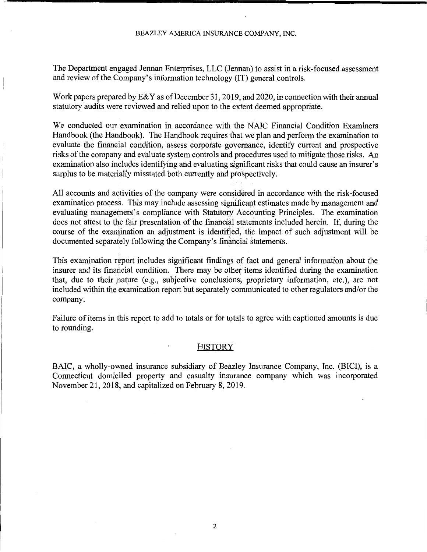The Department engaged Jennan Enterprises, LLC (Jennan) to assist in a risk-focused assessment and review of the Company's information technology (IT) general controls.

Work papers prepared by E& Y as of December 31, 2019, and 2020, in connection with their annual statutory audits were reviewed and relied upon to the extent deemed appropriate.

We conducted our examination in accordance with the NAIC Financial Condition Examiners Handbook (the Handbook). The Handbook requires that we plan and perform the examination to evaluate the financial condition, assess corporate governance, identify current and prospective risks of the company and evaluate system controls and procedures used to mitigate those risks. An examination also includes identifying and evaluating significant risks that could cause an insurer's surplus to be materially misstated both currently and prospectively.

All accounts and activities of the company were considered in accordance with the risk-focused examination process. This may include assessing significant estimates made by management and evaluating management's compliance with Statutory Accounting Principles. The examination does not attest to the fair presentation of the financial statements included herein. If, during the course of the examination an adjustment is identified, the impact of such adjustment will be documented separately following the Company's financial statements.

This examination report includes significant findings of fact and general information about the insurer and its financial condition. There may be other items identified during the examination that, due to their nature (e.g., subjective conclusions, proprietary information, etc.), are not included within the examination report but separately communicated to other regulators and/or the company.

Failure of items in this report to add to totals or for totals to agree with captioned amounts is due to rounding.

#### **HISTORY**

BAIC, a wholly-owned insurance subsidiary of Beazley Insurance Company, Inc. (BICI), is a Connecticut domiciled property and casualty insurance company which was incorporated November 21, 2018, and capitalized on February 8, 2019.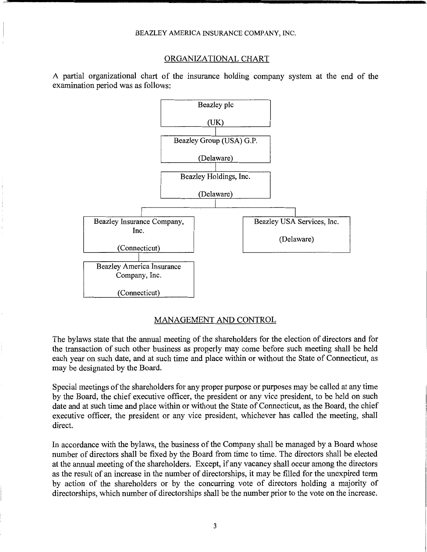#### ORGANIZATIONAL CHART

A partial organizational chart of the insurance holding company system at the end of the examination period was as follows:



#### MANAGEMENT AND CONTROL

The bylaws state that the annual meeting of the shareholders for the election of directors and for the transaction of such other business as properly may come before such meeting shall be held each year on such date, and at such time and place within or without the State of Connecticut, as may be designated by the Board.

Special meetings of the shareholders for any proper purpose or purposes may be called at any time by the Board, the chief executive officer, the president or any vice president, to be held on such date and at such time and place within or without the State of Connecticut, as the Board, the chief executive officer, the president or any vice president, whichever has called the meeting, shall direct.

In accordance with the bylaws, the business of the Company shall be managed by a Board whose number of directors shall be fixed by the Board from time to time. The directors shall be elected at the annual meeting of the shareholders. Except, if any vacancy shall occur among the directors as the result of an increase in the number of directorships, it may be filled for the unexpired term by action of the shareholders or by the concurring vote of directors holding a majority of directorships, which number of directorships shall be the number prior to the vote on the increase.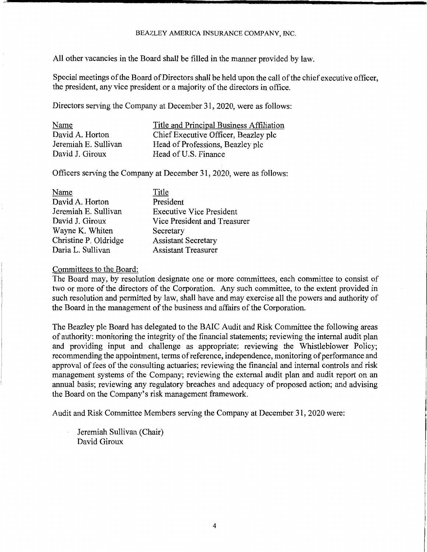All other vacancies in the Board shall be filled in the manner provided by law.

Special meetings of the Board of Directors shall be held upon the call of the chief executive officer, the president, any vice president or a majority of the directors in office.

Directors serving the Company at December 31, 2020, were as follows:

| Name                 | Title and Principal Business Affiliation |
|----------------------|------------------------------------------|
| David A. Horton      | Chief Executive Officer, Beazley plc     |
| Jeremiah E. Sullivan | Head of Professions, Beazley plc         |
| David J. Giroux      | Head of U.S. Finance                     |

Officers serving the Company at December 31, 2020, were as follows:

| Name                  | Title                           |
|-----------------------|---------------------------------|
| David A. Horton       | President                       |
| Jeremiah E. Sullivan  | <b>Executive Vice President</b> |
| David J. Giroux       | Vice President and Treasurer    |
| Wayne K. Whiten       | Secretary                       |
| Christine P. Oldridge | <b>Assistant Secretary</b>      |
| Daria L. Sullivan     | <b>Assistant Treasurer</b>      |

#### Committees to the Board:

The Board may, by resolution designate one or more committees, each committee to consist of two or more of the directors of the Corporation. Any such committee, to the extent provided in such resolution and permitted by law, shall have and may exercise all the powers and authority of the Board in the management of the business and affairs of the Corporation.

The Beazley plc Board has delegated to the BAIC Audit and Risk Committee the following areas of authority: monitoring the integrity of the financial statements; reviewing the internal audit plan and providing input and challenge as appropriate; reviewing the Whistleblower Policy; recommending the appointment, terms of reference, independence, monitoring of performance and approval of fees of the consulting actuaries; reviewing the financial and internal controls and risk management systems of the Company; reviewing the external audit plan and audit report on an annual basis; reviewing any regulatory breaches and adequacy of proposed action; and advising the Board on the Company's risk management framework.

Audit and Risk Committee Members serving the Company at December 31, 2020 were:

Jeremiah Sullivan (Chair) David Giroux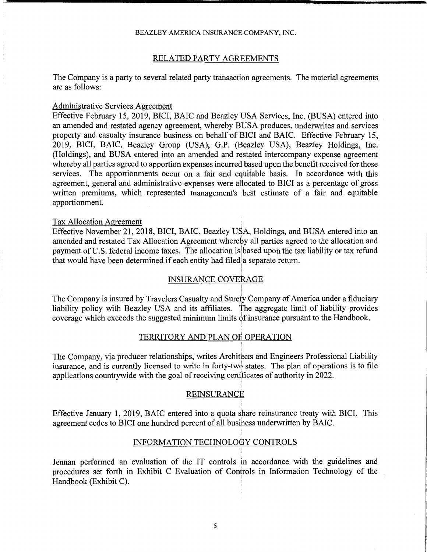## RELATED PARTY AGREEMENTS

The Company is a party to several related party transaction agreements. The material agreements are as follows:

## Administrative Services Agreement

Effective February 15, 2019, BICI, BAIC and Beazley USA Services, Inc. (BUSA) entered into an amended and restated agency agreement, whereby BUSA produces, underwrites and services property and casualty insurance business on behalf of BICI and BAIC. Effective February 15, 2019, BICI, BAIC, Beazley Group (USA), G.P. (Beazley USA), Beazley Holdings, Inc. (Holdings), and BUSA entered into an amended and restated intercompany expense agreement whereby all parties agreed to apportion expenses incurred based upon the benefit received for those services. The apportionments occur on a fair and equitable basis. In accordance with this agreement, general and administrative expenses were allocated to BICI as a percentage of gross written premiums, which represented management's best estimate of a fair and equitable apportionment.

## Tax Allocation Agreement

Effective November 21, 2018, BICI, BAIC, Beazley USA, Holdings, and BUSA entered into an amended and restated Tax Allocation Agreement whereby all parties agreed to the allocation and payment of U.S. federal income taxes. The allocation is based upon the tax liability or tax refund that would have been determined if each entity had filed a separate return.

# INSURANCE COVERAGE

The Company is insured by Travelers Casualty and Surety Company of America under a fiduciary liability policy with Beazley USA and its affiliates. The aggregate limit of liability provides coverage which exceeds the suggested minimum limits of insurance pursuant to the Handbook.

## TERRITORY AND PLAN OF OPERATION

The Company, via producer relationships, writes Architects and Engineers Professional Liability insurance, and is currently licensed to write in forty-two states. The plan of operations is to file applications countrywide with the goal of receiving certlficates of authority in 2022.

## REINSURANCE

Effective January 1, 2019, BAIC entered into a quota share reinsurance treaty with BICI. This agreement cedes to BICI one hundred percent of all busihess underwritten by BAIC.

# INFORMATION TECHNOLOGY CONTROLS

Jennan performed an evaluation of the IT controls in accordance with the guidelines and procedures set forth in Exhibit C Evaluation of Controls in Information Technology of the Handbook (Exhibit C).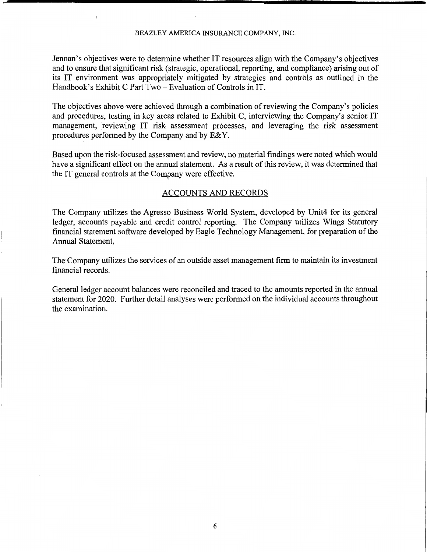Jennan's objectives were to determine whether IT resources align with the Company's objectives and to ensure that significant risk (strategic, operational, reporting, and compliance) arising out of its IT environment was appropriately mitigated by strategies and controls as outlined in the Handbook's Exhibit C Part Two - Evaluation of Controls in IT.

The objectives above were achieved through a combination of reviewing the Company's policies and procedures, testing in key areas related to Exhibit C, interviewing the Company's senior IT management, reviewing IT risk assessment processes, and leveraging the risk assessment procedures performed by the Company and by E&Y.

Based upon the risk-focused assessment and review, no material findings were noted which would have a significant effect on the annual statement. As a result of this review, it was determined that the IT general controls at the Company were effective.

## ACCOUNTS AND RECORDS

The Company utilizes the Agresso Business World System, developed by Unit4 for its general ledger, accounts payable and credit control reporting. The Company utilizes Wings Statutory financial statement software developed by Eagle Technology Management, for preparation of the Annual Statement.

The Company utilizes the services of an outside asset management firm to maintain its investment financial records.

General ledger account balances were reconciled and traced to the amounts reported in the annual statement for 2020. Further detail analyses were performed on the individual accounts throughout the examination.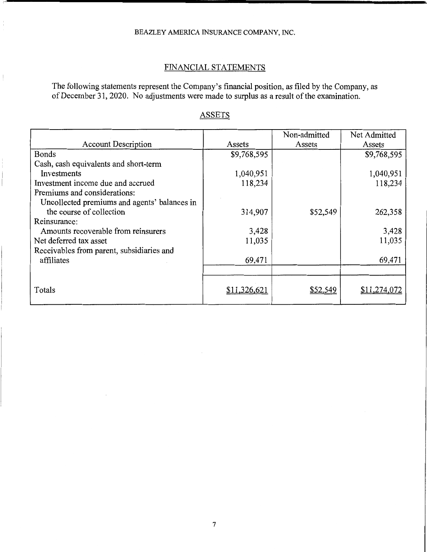# FINANCIAL STATEMENTS

The following statements represent the Company's financial position, as filed by the Company, as of December 31, 2020. No adjustments were made to surplus as a result of the examination.

|                                              |              | Non-admitted | Net Admitted |
|----------------------------------------------|--------------|--------------|--------------|
| <b>Account Description</b>                   | Assets       | Assets       | Assets       |
| Bonds                                        | \$9,768,595  |              | \$9,768,595  |
| Cash, cash equivalents and short-term        |              |              |              |
| Investments                                  | 1,040,951    |              | 1,040,951    |
| Investment income due and accrued            | 118,234      |              | 118,234      |
| Premiums and considerations:                 |              |              |              |
| Uncollected premiums and agents' balances in |              |              |              |
| the course of collection                     | 314,907      | \$52,549     | 262,358      |
| Reinsurance:                                 |              |              |              |
| Amounts recoverable from reinsurers          | 3,428        |              | 3,428        |
| Net deferred tax asset                       | 11,035       |              | 11,035       |
| Receivables from parent, subsidiaries and    |              |              |              |
| affiliates                                   | 69,471       |              | 69,471       |
|                                              |              |              |              |
|                                              |              |              |              |
| Totals                                       | \$11.326.621 | \$52,549     | \$11.274.072 |
|                                              |              |              |              |

# **ASSETS**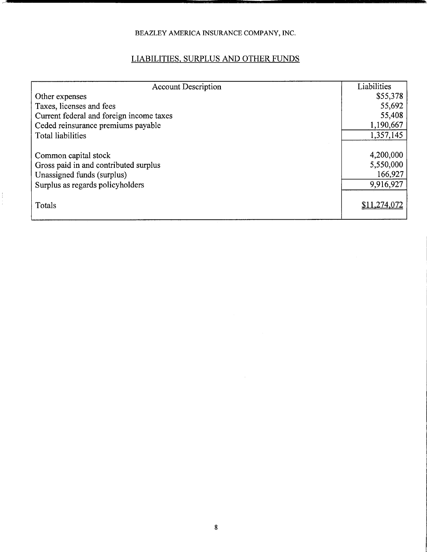# LIABILITIES, SURPLUS AND OTHER FUNDS

| <b>Account Description</b>               | Liabilities  |
|------------------------------------------|--------------|
| Other expenses                           | \$55,378     |
| Taxes, licenses and fees                 | 55,692       |
| Current federal and foreign income taxes | 55,408       |
| Ceded reinsurance premiums payable       | 1,190,667    |
| Total liabilities                        | 1,357,145    |
|                                          |              |
| Common capital stock                     | 4,200,000    |
| Gross paid in and contributed surplus    | 5,550,000    |
| Unassigned funds (surplus)               | 166,927      |
| Surplus as regards policyholders         | 9,916,927    |
| Totals                                   | \$11,274,072 |

 $\frac{1}{4}$ ÷,

 $\sim$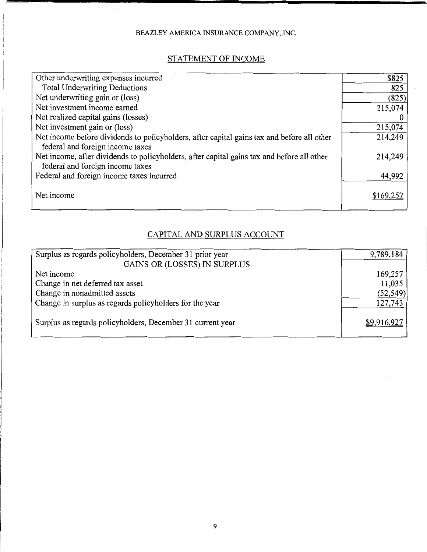# STATEMENT OF INCOME

| Other underwriting expenses incurred                                                                                           | \$825    |
|--------------------------------------------------------------------------------------------------------------------------------|----------|
| <b>Total Underwriting Deductions</b>                                                                                           | 825      |
| Net underwriting gain or (loss)                                                                                                | (825)    |
| Net investment income earned                                                                                                   | 215,074  |
| Net realized capital gains (losses)                                                                                            |          |
| Net investment gain or (loss)                                                                                                  | 215,074  |
| Net income before dividends to policyholders, after capital gains tax and before all other<br>federal and foreign income taxes | 214,249  |
|                                                                                                                                |          |
| Net income, after dividends to policyholders, after capital gains tax and before all other<br>federal and foreign income taxes | 214,249  |
| Federal and foreign income taxes incurred                                                                                      | 44,992   |
| Net income                                                                                                                     | \$169.25 |
|                                                                                                                                |          |

# CAPITAL AND SURPLUS ACCOUNT

| Surplus as regards policyholders, December 31 prior year   | 9,789,184   |
|------------------------------------------------------------|-------------|
| GAINS OR (LOSSES) IN SURPLUS                               |             |
| Net income                                                 | 169,257     |
| Change in net deferred tax asset                           | 11,035      |
| Change in nonadmitted assets                               | (52, 549)   |
| Change in surplus as regards policyholders for the year    | 127,743     |
|                                                            |             |
| Surplus as regards policyholders, December 31 current year | \$9,916,927 |
|                                                            |             |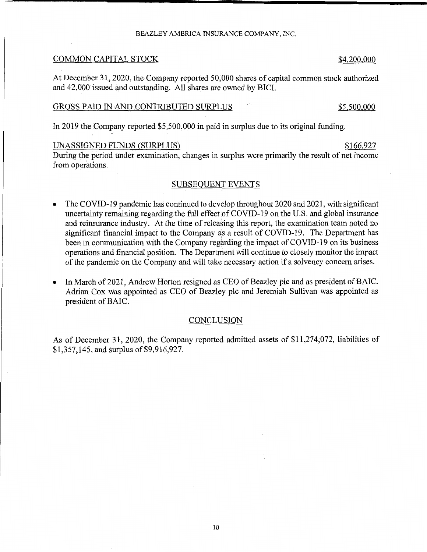## COMMON CAPITAL STOCK \$4,200,000

At December 31, 2020, the Company reported 50,000 shares of capital common stock authorized and 42,000 issued and outstanding. All shares are owned by BICI.

## GROSS PAID IN AND CONTRIBUTED SURPLUS **FOLLOWING STATE SETS** \$5,500,000

In 2019 the Company reported \$5,500,000 in paid in surplus due to its original funding.

## UNASSIGNED FUNDS (SURPLUS) \$166,927

During the period under examination, changes in surplus were primarily the result of net income from operations.

## SUBSEQUENT EVENTS

- The COVID-19 pandemic has continued to develop throughout 2020 and 2021, with significant uncertainty remaining regarding the full effect of COVID-19 on the U.S. and global insurance and reinsurance industry. At the time of releasing this report, the examination team noted no significant financial impact to the Company as a result of COVID-19. The Department has been in communication with the Company regarding the impact of COVID-19 on its business operations and financial position. The Department will continue to closely monitor the impact of the pandemic on the Company and will take necessary action if a solvency concern arises.
- In March of 2021, Andrew Horton resigned as CEO of Beazley plc and as president of BAIC. Adrian Cox was appointed as CEO of Beazley plc and Jeremiah Sullivan was appointed as president of BAIC.

#### **CONCLUSION**

As of December 31, 2020, the Company reported admitted assets of \$11,274,072, liabilities of \$1,357,145, and surplus of \$9,916,927.